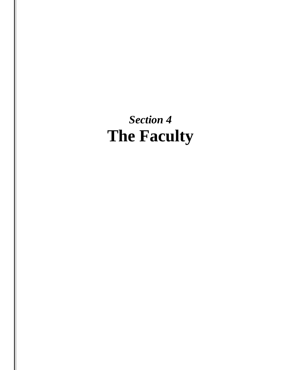*Section 4* **The Faculty**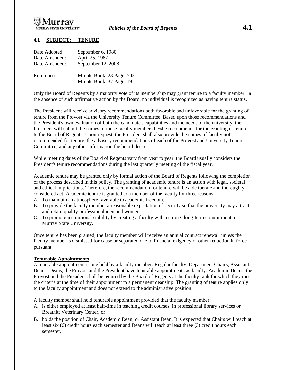

## *<sup>U</sup>***4.1 SUBJECT: TENURE**

| Date Adopted: | September 6, 1980                                     |
|---------------|-------------------------------------------------------|
| Date Amended: | April 25, 1987                                        |
| Date Amended: | September 12, 2008                                    |
| References:   | Minute Book: 23 Page: 503<br>Minute Book: 37 Page: 19 |

Only the Board of Regents by a majority vote of its membership may grant tenure to a faculty member. In the absence of such affirmative action by the Board, no individual is recognized as having tenure status.

The President will receive advisory recommendations both favorable and unfavorable for the granting of tenure from the Provost via the University Tenure Committee. Based upon those recommendations and the President's own evaluation of both the candidate's capabilities and the needs of the university, the President will submit the names of those faculty members he/she recommends for the granting of tenure to the Board of Regents. Upon request, the President shall also provide the names of faculty not recommended for tenure, the advisory recommendations of each of the Provost and University Tenure Committee, and any other information the board desires.

While meeting dates of the Board of Regents vary from year to year, the Board usually considers the President's tenure recommendations during the last quarterly meeting of the fiscal year.

Academic tenure may be granted only by formal action of the Board of Regents following the completion of the process described in this policy. The granting of academic tenure is an action with legal, societal and ethical implications. Therefore, the recommendation for tenure will be a deliberate and thoroughly considered act. Academic tenure is granted to a member of the faculty for three reasons:

- A. To maintain an atmosphere favorable to academic freedom.
- B. To provide the faculty member a reasonable expectation of security so that the university may attract and retain quality professional men and women.
- C. To promote institutional stability by creating a faculty with a strong, long-term commitment to Murray State University.

Once tenure has been granted, the faculty member will receive an annual contract renewal unless the faculty member is dismissed for cause or separated due to financial exigency or other reduction in force pursuant.

## *<sup>U</sup>***Tenurable Appointments**

A tenurable appointment is one held by a faculty member. Regular faculty, Department Chairs, Assistant Deans, Deans, the Provost and the President have tenurable appointments as faculty. Academic Deans, the Provost and the President shall be tenured by the Board of Regents at the faculty rank for which they meet the criteria at the time of their appointment to a permanent deanship. The granting of tenure applies only to the faculty appointment and does not extend to the administrative position.

A faculty member shall hold tenurable appointment provided that the faculty member:

- A. is either employed at least half-time in teaching credit courses, in professional library services or Breathitt Veterinary Center, or
- B. holds the position of Chair, Academic Dean, or Assistant Dean. It is expected that Chairs will teach at least six (6) credit hours each semester and Deans will teach at least three (3) credit hours each semester.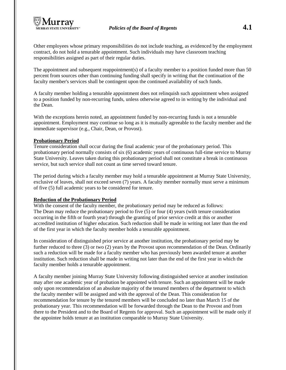Other employees whose primary responsibilities do not include teaching, as evidenced by the employment contract, do not hold a tenurable appointment. Such individuals may have classroom teaching responsibilities assigned as part of their regular duties.

The appointment and subsequent reappointment(s) of a faculty member to a position funded more than 50 percent from sources other than continuing funding shall specify in writing that the continuation of the faculty member's services shall be contingent upon the continued availability of such funds.

A faculty member holding a tenurable appointment does not relinquish such appointment when assigned to a position funded by non-recurring funds, unless otherwise agreed to in writing by the individual and the Dean.

With the exceptions herein noted, an appointment funded by non-recurring funds is not a tenurable appointment. Employment may continue so long as it is mutually agreeable to the faculty member and the immediate supervisor (e.g., Chair, Dean, or Provost).

## *<sup>U</sup>***Probationary Period**

Tenure consideration shall occur during the final academic year of the probationary period. This probationary period normally consists of six (6) academic years of continuous full-time service to Murray State University. Leaves taken during this probationary period shall not constitute a break in continuous service, but such service shall not count as time served toward tenure.

The period during which a faculty member may hold a tenurable appointment at Murray State University, exclusive of leaves, shall not exceed seven (7) years. A faculty member normally must serve a minimum of five (5) full academic years to be considered for tenure.

## *<sup>U</sup>***Reduction of the Probationary Period**

With the consent of the faculty member, the probationary period may be reduced as follows: The Dean may reduce the probationary period to five (5) or four (4) years (with tenure consideration occurring in the fifth or fourth year) through the granting of prior service credit at this or another accredited institution of higher education. Such reduction shall be made in writing not later than the end of the first year in which the faculty member holds a tenurable appointment.

In consideration of distinguished prior service at another institution, the probationary period may be further reduced to three (3) or two (2) years by the Provost upon recommendation of the Dean. Ordinarily such a reduction will be made for a faculty member who has previously been awarded tenure at another institution. Such reduction shall be made in writing not later than the end of the first year in which the faculty member holds a tenurable appointment.

A faculty member joining Murray State University following distinguished service at another institution may after one academic year of probation be appointed with tenure. Such an appointment will be made only upon recommendation of an absolute majority of the tenured members of the department to which the faculty member will be assigned and with the approval of the Dean. This consideration for recommendation for tenure by the tenured members will be concluded no later than March 15 of the probationary year. This recommendation will be forwarded through the Dean to the Provost and from there to the President and to the Board of Regents for approval. Such an appointment will be made only if the appointee holds tenure at an institution comparable to Murray State University.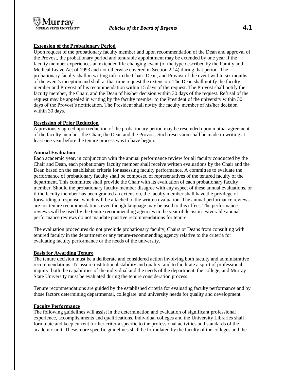# **Extension of the Probationary Period**

Upon request of the probationary faculty member and upon recommendation of the Dean and approval of the Provost, the probationary period and tenurable appointment may be extended by one year if the faculty member experiences an extended life-changing event (of the type described by the Family and Medical Leave Act of 1993 and not otherwise covered in Section 2.14) during that period. The probationary faculty shall in writing inform the Chair, Dean, and Provost of the event within six months of the event's inception and shall at that time request the extension. The Dean shall notify the faculty member and Provost of his recommendation within 15 days of the request. The Provost shall notify the faculty member, the Chair, and the Dean of his/her decision within 30 days of the request. Refusal of the request may be appealed in writing by the faculty member to the President of the university within 30 days of the Provost's notification. The President shall notify the faculty member of his/her decision within 30 days.

## *<sup>U</sup>***Rescission of Prior Reduction**

A previously agreed upon reduction of the probationary period may be rescinded upon mutual agreement of the faculty member, the Chair, the Dean and the Provost. Such rescission shall be made in writing at least one year before the tenure process was to have begun.

## *<sup>U</sup>***Annual Evaluation**

Each academic year, in conjunction with the annual performance review for all faculty conducted by the Chair and Dean, each probationary faculty member shall receive written evaluations by the Chair and the Dean based on the established criteria for assessing faculty performance. A committee to evaluate the performance of probationary faculty shall be composed of representatives of the tenured faculty of the department. This committee shall provide the Chair with its evaluation of each probationary faculty member. Should the probationary faculty member disagree with any aspect of these annual evaluations, or if the faculty member has been granted an extension, the faculty member shall have the privilege of forwarding a response, which will be attached to the written evaluation. The annual performance reviews are not tenure recommendations even though language may be used to this effect. The performance reviews will be used by the tenure recommending agencies in the year of decision. Favorable annual performance reviews do not mandate positive recommendations for tenure.

The evaluation procedures do not preclude probationary faculty, Chairs or Deans from consulting with tenured faculty in the department or any tenure-recommending agency relative to the criteria for evaluating faculty performance or the needs of the university.

## *<sup>U</sup>***Basis for Awarding Tenure**

The tenure decision must be a deliberate and considered action involving both faculty and administrative recommendations. To assure institutional stability and quality, and to facilitate a spirit of professional inquiry, both the capabilities of the individual and the needs of the department, the college, and Murray State University must be evaluated during the tenure consideration process.

Tenure recommendations are guided by the established criteria for evaluating faculty performance and by those factors determining departmental, collegiate, and university needs for quality and development.

## *<sup>U</sup>***Faculty Performance**

The following guidelines will assist in the determination and evaluation of significant professional experience, accomplishments and qualifications. Individual colleges and the University Libraries shall formulate and keep current further criteria specific to the professional activities and standards of the academic unit. These more specific guidelines shall be formulated by the faculty of the colleges and the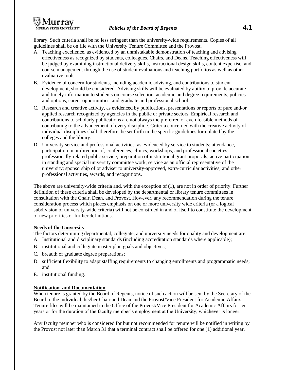

library. Such criteria shall be no less stringent than the university-wide requirements. Copies of all guidelines shall be on file with the University Tenure Committee and the Provost.

- A. Teaching excellence, as evidenced by an unmistakable demonstration of teaching and advising effectiveness as recognized by students, colleagues, Chairs, and Deans. Teaching effectiveness will be judged by examining instructional delivery skills, instructional design skills, content expertise, and course management through the use of student evaluations and teaching portfolios as well as other evaluative tools.
- B. Evidence of concern for students, including academic advising, and contributions to student development, should be considered. Advising skills will be evaluated by ability to provide accurate and timely information to students on course selection, academic and degree requirements, policies and options, career opportunities, and graduate and professional school.
- C. Research and creative activity, as evidenced by publications, presentations or reports of pure and/or applied research recognized by agencies in the public or private sectors. Empirical research and contributions to scholarly publications are not always the preferred or even feasible methods of contributing to the advancement of every discipline. Criteria concerned with the creative activity of individual disciplines shall, therefore, be set forth in the specific guidelines formulated by the colleges and the library.
- D. University service and professional activities, as evidenced by service to students; attendance, participation in or direction of, conferences, clinics, workshops, and professional societies; professionally-related public service; preparation of institutional grant proposals; active participation in standing and special university committee work; service as an official representative of the university; sponsorship of or adviser to university-approved, extra-curricular activities; and other professional activities, awards, and recognitions.

The above are university-wide criteria and, with the exception of (1), are not in order of priority. Further definition of these criteria shall be developed by the departmental or library tenure committees in consultation with the Chair, Dean, and Provost. However, any recommendation during the tenure consideration process which places emphasis on one or more university wide criteria (or a logical subdivision of university-wide criteria) will not be construed in and of itself to constitute the development of new priorities or further definitions.

## *<sup>U</sup>***Needs of the University**

The factors determining departmental, collegiate, and university needs for quality and development are:

- A. Institutional and disciplinary standards (including accreditation standards where applicable);
- B. institutional and collegiate master plan goals and objectives;
- C. breadth of graduate degree preparations;
- D. sufficient flexibility to adapt staffing requirements to changing enrollments and programmatic needs; and
- E. institutional funding.

## *<sup>U</sup>***Notification and Documentation**

When tenure is granted by the Board of Regents, notice of such action will be sent by the Secretary of the Board to the individual, his/her Chair and Dean and the Provost/Vice President for Academic Affairs. Tenure files will be maintained in the Office of the Provost/Vice President for Academic Affairs for ten years or for the duration of the faculty member's employment at the University, whichever is longer.

Any faculty member who is considered for but not recommended for tenure will be notified in writing by the Provost not later than March 31 that a terminal contract shall be offered for one (1) additional year.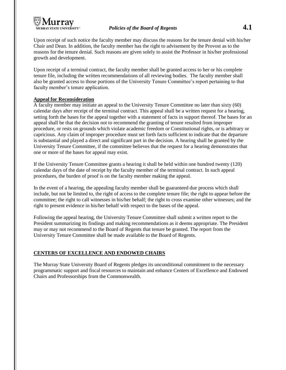

Upon receipt of such notice the faculty member may discuss the reasons for the tenure denial with his/her Chair and Dean. In addition, the faculty member has the right to advisement by the Provost as to the reasons for the tenure denial. Such reasons are given solely to assist the Professor in his/her professional growth and development.

Upon receipt of a terminal contract, the faculty member shall be granted access to her or his complete tenure file, including the written recommendations of all reviewing bodies. The faculty member shall also be granted access to those portions of the University Tenure Committee's report pertaining to that faculty member's tenure application.

## **Appeal for Reconsideration**

A faculty member may initiate an appeal to the University Tenure Committee no later than sixty (60) calendar days after receipt of the terminal contract. This appeal shall be a written request for a hearing, setting forth the bases for the appeal together with a statement of facts in support thereof. The bases for an appeal shall be that the decision not to recommend the granting of tenure resulted from improper procedure, or rests on grounds which violate academic freedom or Constitutional rights, or is arbitrary or capricious. Any claim of improper procedure must set forth facts sufficient to indicate that the departure is substantial and played a direct and significant part in the decision. A hearing shall be granted by the University Tenure Committee, if the committee believes that the request for a hearing demonstrates that one or more of the bases for appeal may exist.

If the University Tenure Committee grants a hearing it shall be held within one hundred twenty (120) calendar days of the date of receipt by the faculty member of the terminal contract. In such appeal procedures, the burden of proof is on the faculty member making the appeal.

In the event of a hearing, the appealing faculty member shall be guaranteed due process which shall include, but not be limited to, the right of access to the complete tenure file; the right to appear before the committee; the right to call witnesses in his/her behalf; the right to cross examine other witnesses; and the right to present evidence in his/her behalf with respect to the bases of the appeal.

Following the appeal hearing, the University Tenure Committee shall submit a written report to the President summarizing its findings and making recommendations as it deems appropriate. The President may or may not recommend to the Board of Regents that tenure be granted. The report from the University Tenure Committee shall be made available to the Board of Regents.

## *<sup>U</sup>***CENTERS OF EXCELLENCE AND ENDOWED CHAIRS**

The Murray State University Board of Regents pledges its unconditional commitment to the necessary programmatic support and fiscal resources to maintain and enhance Centers of Excellence and Endowed Chairs and Professorships from the Commonwealth.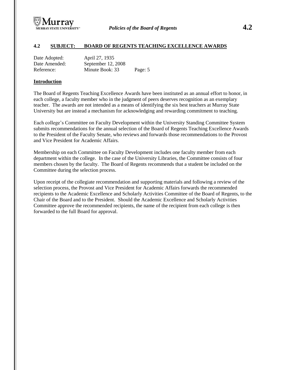

## *<sup>U</sup>***4.2 SUBJECT: BOARD OF REGENTS TEACHING EXCELLENCE AWARDS**

| Date Adopted: | April 27, 1935     |         |
|---------------|--------------------|---------|
| Date Amended: | September 12, 2008 |         |
| Reference:    | Minute Book: 33    | Page: 5 |

### *<sup>U</sup>***Introduction**

The Board of Regents Teaching Excellence Awards have been instituted as an annual effort to honor, in each college, a faculty member who in the judgment of peers deserves recognition as an exemplary teacher. The awards are not intended as a means of identifying the six best teachers at Murray State University but are instead a mechanism for acknowledging and rewarding commitment to teaching.

Each college's Committee on Faculty Development within the University Standing Committee System submits recommendations for the annual selection of the Board of Regents Teaching Excellence Awards to the President of the Faculty Senate, who reviews and forwards those recommendations to the Provost and Vice President for Academic Affairs.

Membership on each Committee on Faculty Development includes one faculty member from each department within the college. In the case of the University Libraries, the Committee consists of four members chosen by the faculty. The Board of Regents recommends that a student be included on the Committee during the selection process.

Upon receipt of the collegiate recommendation and supporting materials and following a review of the selection process, the Provost and Vice President for Academic Affairs forwards the recommended recipients to the Academic Excellence and Scholarly Activities Committee of the Board of Regents, to the Chair of the Board and to the President. Should the Academic Excellence and Scholarly Activities Committee approve the recommended recipients, the name of the recipient from each college is then forwarded to the full Board for approval.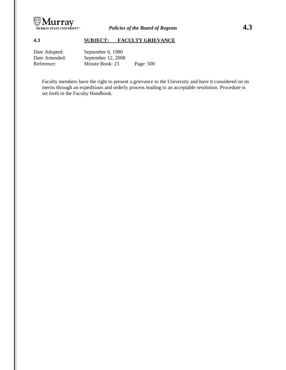

# *<sup>U</sup>***4.3 SUBJECT: FACULTY GRIEVANCE**

| Date Adopted: | September 6, 1980  |           |
|---------------|--------------------|-----------|
| Date Amended: | September 12, 2008 |           |
| Reference:    | Minute Book: 23    | Page: 500 |

Faculty members have the right to present a grievance to the University and have it considered on its merits through an expeditious and orderly process leading to an acceptable resolution. Procedure is set forth in the Faculty Handbook.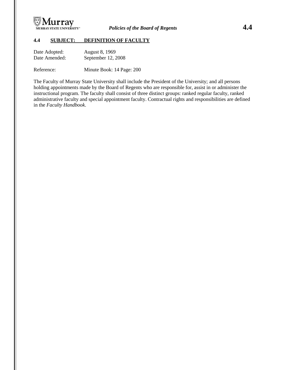

# *<sup>U</sup>***4.4 SUBJECT: DEFINITION OF FACULTY**

| Date Adopted: | August 8, 1969     |
|---------------|--------------------|
| Date Amended: | September 12, 2008 |

Reference: Minute Book: 14 Page: 200

The Faculty of Murray State University shall include the President of the University; and all persons holding appointments made by the Board of Regents who are responsible for, assist in or administer the instructional program. The faculty shall consist of three distinct groups: ranked regular faculty, ranked administrative faculty and special appointment faculty. Contractual rights and responsibilities are defined in the *Faculty Handbook*.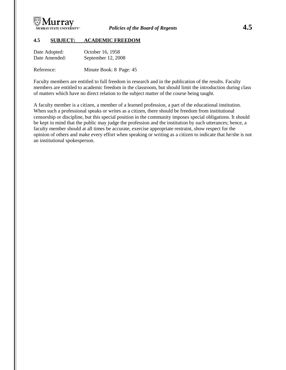

## *<sup>U</sup>***4.5 SUBJECT: ACADEMIC FREEDOM**

| Date Adopted: | October 16, 1958   |
|---------------|--------------------|
| Date Amended: | September 12, 2008 |

Reference: Minute Book: 8 Page: 45

Faculty members are entitled to full freedom in research and in the publication of the results. Faculty members are entitled to academic freedom in the classroom, but should limit the introduction during class of matters which have no direct relation to the subject matter of the course being taught.

A faculty member is a citizen, a member of a learned profession, a part of the educational institution. When such a professional speaks or writes as a citizen, there should be freedom from institutional censorship or discipline, but this special position in the community imposes special obligations. It should be kept in mind that the public may judge the profession and the institution by such utterances; hence, a faculty member should at all times be accurate, exercise appropriate restraint, show respect for the opinion of others and make every effort when speaking or writing as a citizen to indicate that he/she is not an institutional spokesperson.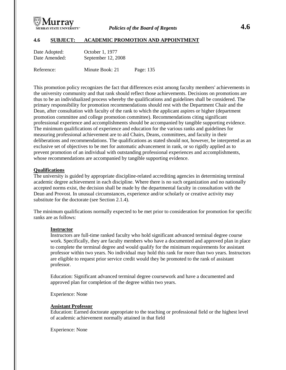

## **4.6 SUBJECT: ACADEMIC PROMOTION AND APPOINTMENT**

| Date Adopted:<br>Date Amended: | October 1, 1977<br>September 12, 2008 |           |
|--------------------------------|---------------------------------------|-----------|
| Reference:                     | Minute Book: 21                       | Page: 135 |

This promotion policy recognizes the fact that differences exist among faculty members' achievements in the university community and that rank should reflect those achievements. Decisions on promotions are thus to be an individualized process whereby the qualifications and guidelines shall be considered. The primary responsibility for promotion recommendations should rest with the Department Chair and the Dean, after consultation with faculty of the rank to which the applicant aspires or higher (department promotion committee and college promotion committee). Recommendations citing significant professional experience and accomplishments should be accompanied by tangible supporting evidence. The minimum qualifications of experience and education for the various ranks and guidelines for measuring professional achievement are to aid Chairs, Deans, committees, and faculty in their deliberations and recommendations. The qualifications as stated should not, however, be interpreted as an exclusive set of objectives to be met for automatic advancement in rank, or so rigidly applied as to prevent promotion of an individual with outstanding professional experiences and accomplishments, whose recommendations are accompanied by tangible supporting evidence.

### **Qualifications**

The university is guided by appropriate discipline-related accrediting agencies in determining terminal academic degree achievement in each discipline. Where there is no such organization and no nationally accepted norms exist, the decision shall be made by the departmental faculty in consultation with the Dean and Provost. In unusual circumstances, experience and/or scholarly or creative activity may substitute for the doctorate (see Section 2.1.4).

The minimum qualifications normally expected to be met prior to consideration for promotion for specific ranks are as follows:

### **Instructor**

Instructors are full-time ranked faculty who hold significant advanced terminal degree course work. Specifically, they are faculty members who have a documented and approved plan in place to complete the terminal degree and would qualify for the minimum requirements for assistant professor within two years. No individual may hold this rank for more than two years. Instructors are eligible to request prior service credit would they be promoted to the rank of assistant professor.

Education: Significant advanced terminal degree coursework and have a documented and approved plan for completion of the degree within two years.

Experience: None

### **Assistant Professor**

Education: Earned doctorate appropriate to the teaching or professional field or the highest level of academic achievement normally attained in that field

Experience: None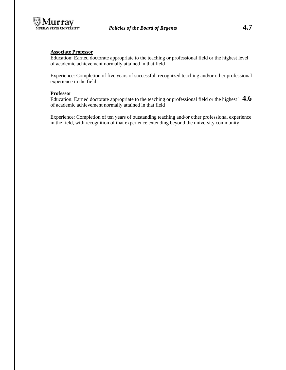

## **Associate Professor**

Education: Earned doctorate appropriate to the teaching or professional field or the highest level of academic achievement normally attained in that field

Experience: Completion of five years of successful, recognized teaching and/or other professional experience in the field

### **Professor**

Education: Earned doctorate appropriate to the teaching or professional field or the highest 1 4.6 of academic achievement normally attained in that field

Experience: Completion of ten years of outstanding teaching and/or other professional experience in the field, with recognition of that experience extending beyond the university community